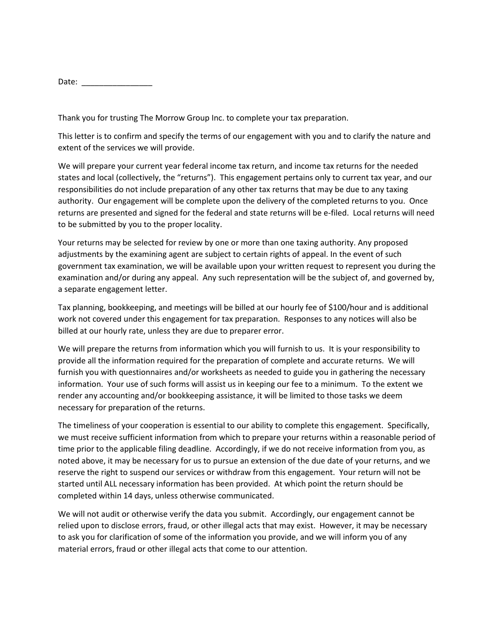Date:  $\Box$ 

Thank you for trusting The Morrow Group Inc. to complete your tax preparation.

This letter is to confirm and specify the terms of our engagement with you and to clarify the nature and extent of the services we will provide.

We will prepare your current year federal income tax return, and income tax returns for the needed states and local (collectively, the "returns"). This engagement pertains only to current tax year, and our responsibilities do not include preparation of any other tax returns that may be due to any taxing authority. Our engagement will be complete upon the delivery of the completed returns to you. Once returns are presented and signed for the federal and state returns will be e-filed. Local returns will need to be submitted by you to the proper locality.

Your returns may be selected for review by one or more than one taxing authority. Any proposed adjustments by the examining agent are subject to certain rights of appeal. In the event of such government tax examination, we will be available upon your written request to represent you during the examination and/or during any appeal. Any such representation will be the subject of, and governed by, a separate engagement letter.

Tax planning, bookkeeping, and meetings will be billed at our hourly fee of \$100/hour and is additional work not covered under this engagement for tax preparation. Responses to any notices will also be billed at our hourly rate, unless they are due to preparer error.

We will prepare the returns from information which you will furnish to us. It is your responsibility to provide all the information required for the preparation of complete and accurate returns. We will furnish you with questionnaires and/or worksheets as needed to guide you in gathering the necessary information. Your use of such forms will assist us in keeping our fee to a minimum. To the extent we render any accounting and/or bookkeeping assistance, it will be limited to those tasks we deem necessary for preparation of the returns.

The timeliness of your cooperation is essential to our ability to complete this engagement. Specifically, we must receive sufficient information from which to prepare your returns within a reasonable period of time prior to the applicable filing deadline. Accordingly, if we do not receive information from you, as noted above, it may be necessary for us to pursue an extension of the due date of your returns, and we reserve the right to suspend our services or withdraw from this engagement. Your return will not be started until ALL necessary information has been provided. At which point the return should be completed within 14 days, unless otherwise communicated.

We will not audit or otherwise verify the data you submit. Accordingly, our engagement cannot be relied upon to disclose errors, fraud, or other illegal acts that may exist. However, it may be necessary to ask you for clarification of some of the information you provide, and we will inform you of any material errors, fraud or other illegal acts that come to our attention.